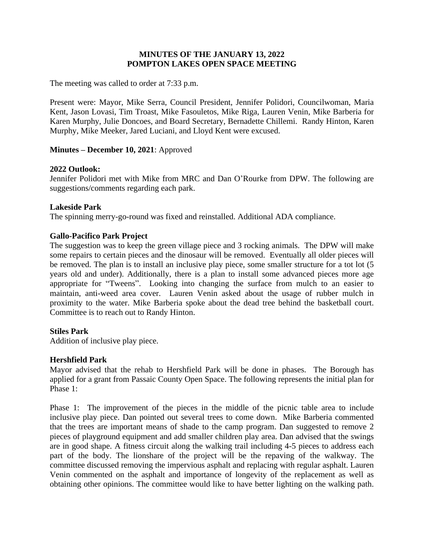# **MINUTES OF THE JANUARY 13, 2022 POMPTON LAKES OPEN SPACE MEETING**

The meeting was called to order at 7:33 p.m.

Present were: Mayor, Mike Serra, Council President, Jennifer Polidori, Councilwoman, Maria Kent, Jason Lovasi, Tim Troast, Mike Fasouletos, Mike Riga, Lauren Venin, Mike Barberia for Karen Murphy, Julie Doncoes, and Board Secretary, Bernadette Chillemi. Randy Hinton, Karen Murphy, Mike Meeker, Jared Luciani, and Lloyd Kent were excused.

### **Minutes – December 10, 2021**: Approved

### **2022 Outlook:**

Jennifer Polidori met with Mike from MRC and Dan O'Rourke from DPW. The following are suggestions/comments regarding each park.

#### **Lakeside Park**

The spinning merry-go-round was fixed and reinstalled. Additional ADA compliance.

### **Gallo-Pacifico Park Project**

The suggestion was to keep the green village piece and 3 rocking animals. The DPW will make some repairs to certain pieces and the dinosaur will be removed. Eventually all older pieces will be removed. The plan is to install an inclusive play piece, some smaller structure for a tot lot (5 years old and under). Additionally, there is a plan to install some advanced pieces more age appropriate for "Tweens". Looking into changing the surface from mulch to an easier to maintain, anti-weed area cover. Lauren Venin asked about the usage of rubber mulch in proximity to the water. Mike Barberia spoke about the dead tree behind the basketball court. Committee is to reach out to Randy Hinton.

### **Stiles Park**

Addition of inclusive play piece.

### **Hershfield Park**

Mayor advised that the rehab to Hershfield Park will be done in phases. The Borough has applied for a grant from Passaic County Open Space. The following represents the initial plan for Phase 1:

Phase 1: The improvement of the pieces in the middle of the picnic table area to include inclusive play piece. Dan pointed out several trees to come down. Mike Barberia commented that the trees are important means of shade to the camp program. Dan suggested to remove 2 pieces of playground equipment and add smaller children play area. Dan advised that the swings are in good shape. A fitness circuit along the walking trail including 4-5 pieces to address each part of the body. The lionshare of the project will be the repaving of the walkway. The committee discussed removing the impervious asphalt and replacing with regular asphalt. Lauren Venin commented on the asphalt and importance of longevity of the replacement as well as obtaining other opinions. The committee would like to have better lighting on the walking path.